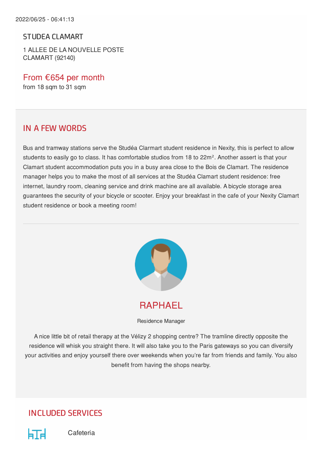STUDEA CLAMART

1 ALLEE DE LA NOUVELLE POSTE CLAMART (92140)

From €654 per month from 18 sqm to 31 sqm

#### IN A FEW WORDS

Bus and tramway stations serve the Studéa Clarmart student residence in Nexity, this is perfect to allow students to easily go to class. It has comfortable studios from 18 to 22m². Another assert is that your Clamart student accommodation puts you in a busy area close to the Bois de Clamart. The residence manager helps you to make the most of all services at the Studéa Clamart student residence: free internet, laundry room, cleaning service and drink machine are all available. A bicycle storage area guarantees the security of your bicycle or scooter. Enjoy your breakfast in the cafe of your Nexity Clamart student residence or book a meeting room!



RAPHAEL

Residence Manager

A nice little bit of retail therapy at the Vélizy 2 shopping centre? The tramline directly opposite the residence will whisk you straight there. It will also take you to the Paris gateways so you can diversify your activities and enjoy yourself there over weekends when you're far from friends and family. You also benefit from having the shops nearby.

#### INCLUDED SERVICES



Cafeteria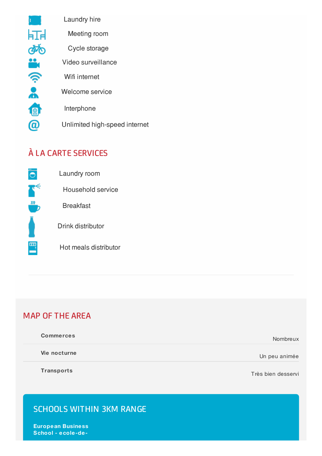

Laundry hire

Meeting room

Cycle storage

Video surveillance

Wifi internet

Welcome service

Interphone

Unlimited high-speed internet

# À LA CARTE SERVICES



Laundry room

Household service

**Breakfast** 

Drink distributor

Hot meals distributor

#### MAP OF THE AREA

| <b>Commerces</b> | Nombreux      |
|------------------|---------------|
| Vie nocturne     | Un peu animée |

**Transports**

Très bien desservi

## SCHOOLS WITHIN 3KM RANGE

**European Business School - ecole-de-**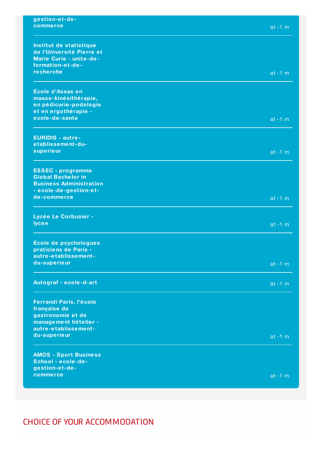| gestion-et-de-                                       |           |
|------------------------------------------------------|-----------|
| commerce                                             | $at -1 m$ |
|                                                      |           |
|                                                      |           |
| Institut de statistique<br>de l'Université Pierre et |           |
| Marie Curie - unite-de-                              |           |
| formation-et-de-                                     |           |
| recherche                                            |           |
|                                                      | $at -1 m$ |
|                                                      |           |
| Ecole d'Assas en                                     |           |
| masso-kinésithérapie,                                |           |
| en pédicurie-podologie                               |           |
| et en ergothérapie -                                 |           |
| ecole-de-sante                                       | $at -1 m$ |
|                                                      |           |
| <b>EURIDIS - autre-</b>                              |           |
| etablissement-du-                                    |           |
| superieur                                            | $at -1 m$ |
|                                                      |           |
| <b>ESSEC</b> - programme                             |           |
| <b>Global Bachelor in</b>                            |           |
| <b>Business Administration</b>                       |           |
| - ecole-de-gestion-et-                               |           |
| de-commerce                                          | $at -1 m$ |
|                                                      |           |
| Lycée Le Corbusier -                                 |           |
| <b>lycee</b>                                         | $at -1 m$ |
|                                                      |           |
| Ecole de psychologues                                |           |
| praticiens de Paris -                                |           |
| autre-etablissement-                                 |           |
| du-superieur                                         |           |
|                                                      | $at -1 m$ |
|                                                      |           |
| Autograf - ecole-d-art                               | $at -1 m$ |
|                                                      |           |
| Ferrandi Paris, l'école                              |           |
| française de                                         |           |
| gastronomie et de                                    |           |
| management hôtelier -                                |           |
| autre-etablissement-                                 |           |
| du-superieur                                         | $at -1 m$ |
|                                                      |           |
| <b>AMOS - Sport Business</b>                         |           |
| School - ecole-de-                                   |           |
| gestion-et-de-                                       |           |
| commerce                                             | $at -1 m$ |
|                                                      |           |

## CHOICE OF YOUR ACCOMMODATION